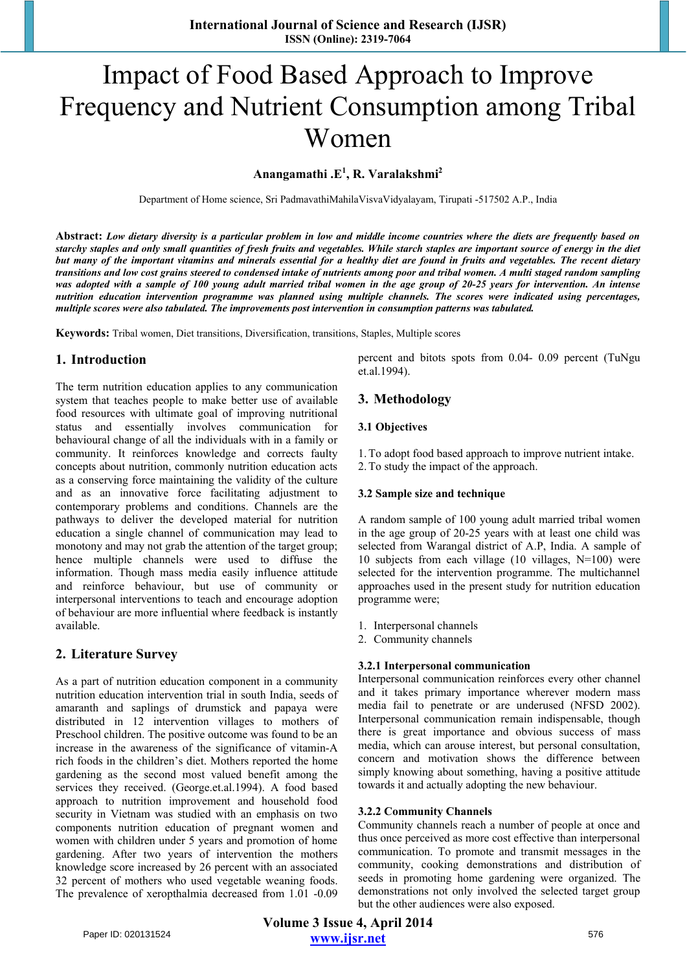# Impact of Food Based Approach to Improve Frequency and Nutrient Consumption among Tribal Women

# **Anangamathi .E<sup>1</sup> , R. Varalakshmi2**

Department of Home science, Sri PadmavathiMahilaVisvaVidyalayam, Tirupati -517502 A.P., India

**Abstract:** *Low dietary diversity is a particular problem in low and middle income countries where the diets are frequently based on starchy staples and only small quantities of fresh fruits and vegetables. While starch staples are important source of energy in the diet but many of the important vitamins and minerals essential for a healthy diet are found in fruits and vegetables. The recent dietary transitions and low cost grains steered to condensed intake of nutrients among poor and tribal women. A multi staged random sampling* was adopted with a sample of 100 young adult married tribal women in the age group of 20-25 years for intervention. An intense *nutrition education intervention programme was planned using multiple channels. The scores were indicated using percentages, multiple scores were also tabulated. The improvements post intervention in consumption patterns was tabulated.* 

**Keywords:** Tribal women, Diet transitions, Diversification, transitions, Staples, Multiple scores

#### **1. Introduction**

The term nutrition education applies to any communication system that teaches people to make better use of available food resources with ultimate goal of improving nutritional status and essentially involves communication for behavioural change of all the individuals with in a family or community. It reinforces knowledge and corrects faulty concepts about nutrition, commonly nutrition education acts as a conserving force maintaining the validity of the culture and as an innovative force facilitating adjustment to contemporary problems and conditions. Channels are the pathways to deliver the developed material for nutrition education a single channel of communication may lead to monotony and may not grab the attention of the target group; hence multiple channels were used to diffuse the information. Though mass media easily influence attitude and reinforce behaviour, but use of community or interpersonal interventions to teach and encourage adoption of behaviour are more influential where feedback is instantly available.

### **2. Literature Survey**

As a part of nutrition education component in a community nutrition education intervention trial in south India, seeds of amaranth and saplings of drumstick and papaya were distributed in 12 intervention villages to mothers of Preschool children. The positive outcome was found to be an increase in the awareness of the significance of vitamin-A rich foods in the children's diet. Mothers reported the home gardening as the second most valued benefit among the services they received. (George.et.al.1994). A food based approach to nutrition improvement and household food security in Vietnam was studied with an emphasis on two components nutrition education of pregnant women and women with children under 5 years and promotion of home gardening. After two years of intervention the mothers knowledge score increased by 26 percent with an associated 32 percent of mothers who used vegetable weaning foods. The prevalence of xeropthalmia decreased from 1.01 -0.09

percent and bitots spots from 0.04- 0.09 percent (TuNgu et.al.1994).

#### **3. Methodology**

#### **3.1 Objectives**

- 1.To adopt food based approach to improve nutrient intake.
- 2.To study the impact of the approach.

#### **3.2 Sample size and technique**

A random sample of 100 young adult married tribal women in the age group of 20-25 years with at least one child was selected from Warangal district of A.P, India. A sample of 10 subjects from each village (10 villages, N=100) were selected for the intervention programme. The multichannel approaches used in the present study for nutrition education programme were;

- 1. Interpersonal channels
- 2. Community channels

#### **3.2.1 Interpersonal communication**

Interpersonal communication reinforces every other channel and it takes primary importance wherever modern mass media fail to penetrate or are underused (NFSD 2002). Interpersonal communication remain indispensable, though there is great importance and obvious success of mass media, which can arouse interest, but personal consultation, concern and motivation shows the difference between simply knowing about something, having a positive attitude towards it and actually adopting the new behaviour.

#### **3.2.2 Community Channels**

Community channels reach a number of people at once and thus once perceived as more cost effective than interpersonal communication. To promote and transmit messages in the community, cooking demonstrations and distribution of seeds in promoting home gardening were organized. The demonstrations not only involved the selected target group but the other audiences were also exposed.

**Volume 3 Issue 4, April 2014 www.ijsr.net** Paper ID: 020131524 576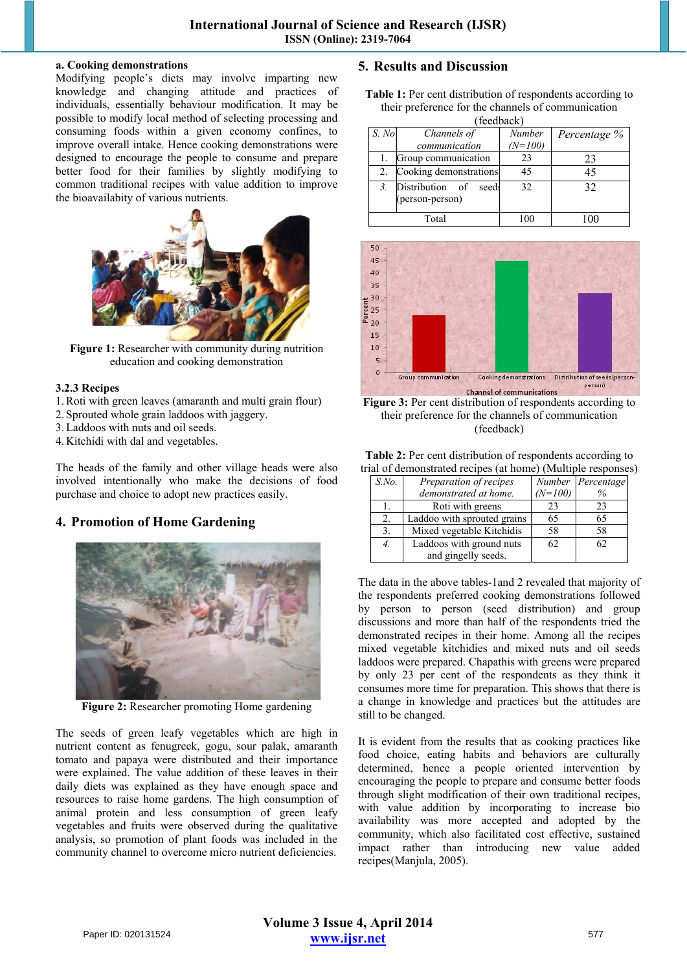#### **a. Cooking demonstrations**

Modifying people's diets may involve imparting new knowledge and changing attitude and practices of individuals, essentially behaviour modification. It may be possible to modify local method of selecting processing and consuming foods within a given economy confines, to improve overall intake. Hence cooking demonstrations were designed to encourage the people to consume and prepare better food for their families by slightly modifying to common traditional recipes with value addition to improve the bioavailabity of various nutrients.



**Figure 1:** Researcher with community during nutrition education and cooking demonstration

# **3.2.3 Recipes**

- 1.Roti with green leaves (amaranth and multi grain flour)
- 2. Sprouted whole grain laddoos with jaggery.
- 3.Laddoos with nuts and oil seeds.
- 4. Kitchidi with dal and vegetables.

The heads of the family and other village heads were also involved intentionally who make the decisions of food purchase and choice to adopt new practices easily.

# **4. Promotion of Home Gardening**



**Figure 2:** Researcher promoting Home gardening

The seeds of green leafy vegetables which are high in nutrient content as fenugreek, gogu, sour palak, amaranth tomato and papaya were distributed and their importance were explained. The value addition of these leaves in their daily diets was explained as they have enough space and resources to raise home gardens. The high consumption of animal protein and less consumption of green leafy vegetables and fruits were observed during the qualitative analysis, so promotion of plant foods was included in the community channel to overcome micro nutrient deficiencies.

# **5. Results and Discussion**

Table 1: Per cent distribution of respondents according to their preference for the channels of communication  $(f^{\text{addback}})$ 

| <i>i</i> ccubach |                                             |           |              |  |  |
|------------------|---------------------------------------------|-----------|--------------|--|--|
| S. No            | Channels of                                 | Number    | Percentage % |  |  |
|                  | communication                               | $(N=100)$ |              |  |  |
|                  | Group communication                         | 23        | 23           |  |  |
| 2.               | Cooking demonstrations                      | 45        | 45           |  |  |
|                  | Distribution of<br>seeds<br>(person-person) | 32        | 32           |  |  |
| Total            |                                             | 100       | 00           |  |  |



Figure 3: Per cent distribution of respondents according to their preference for the channels of communication (feedback)

| <b>Table 2:</b> Per cent distribution of respondents according to |  |  |  |
|-------------------------------------------------------------------|--|--|--|
| trial of demonstrated recipes (at home) (Multiple responses)      |  |  |  |

| $S$ .No. | Preparation of recipes      |           | Number Percentage |
|----------|-----------------------------|-----------|-------------------|
|          | demonstrated at home.       | $(N=100)$ | $\%$              |
|          | Roti with greens            | 23        | 23                |
| 2.       | Laddoo with sprouted grains | 65        | 65                |
| 3.       | Mixed vegetable Kitchidis   | 58        | 58                |
| 4.       | Laddoos with ground nuts    | 62        | 62                |
|          | and gingelly seeds.         |           |                   |

The data in the above tables-1and 2 revealed that majority of the respondents preferred cooking demonstrations followed by person to person (seed distribution) and group discussions and more than half of the respondents tried the demonstrated recipes in their home. Among all the recipes mixed vegetable kitchidies and mixed nuts and oil seeds laddoos were prepared. Chapathis with greens were prepared by only 23 per cent of the respondents as they think it consumes more time for preparation. This shows that there is a change in knowledge and practices but the attitudes are still to be changed.

It is evident from the results that as cooking practices like food choice, eating habits and behaviors are culturally determined, hence a people oriented intervention by encouraging the people to prepare and consume better foods through slight modification of their own traditional recipes, with value addition by incorporating to increase bio availability was more accepted and adopted by the community, which also facilitated cost effective, sustained impact rather than introducing new value added recipes(Manjula, 2005).